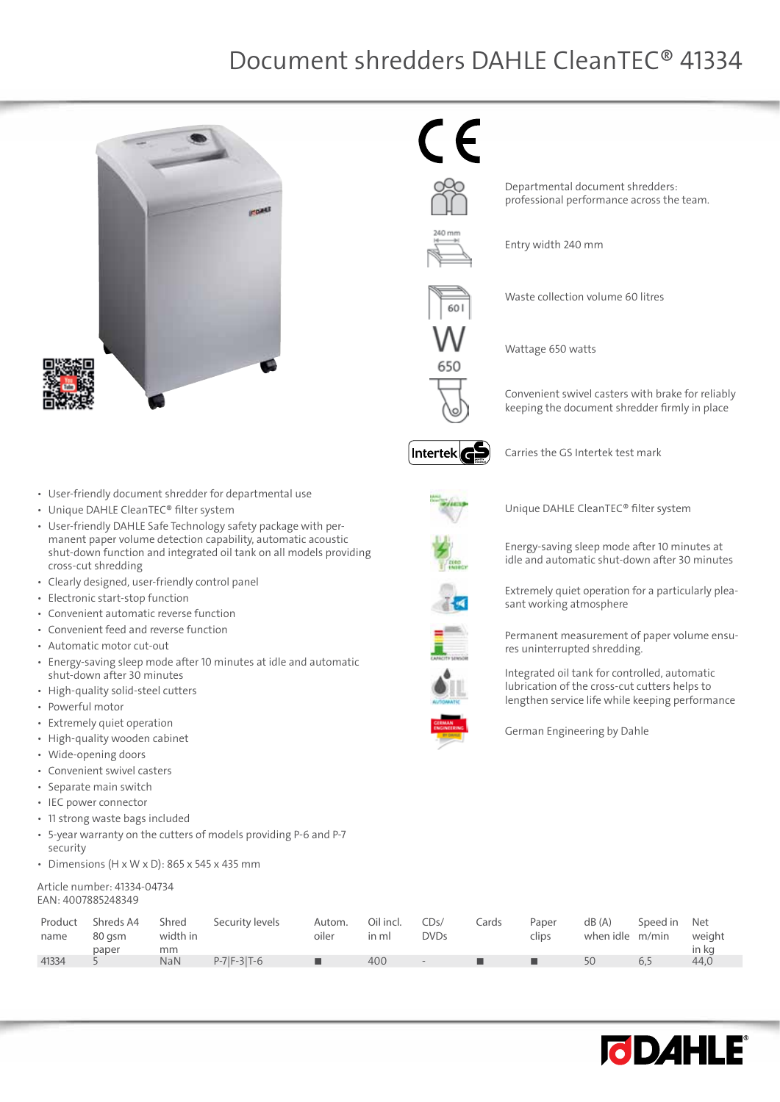$\epsilon$ 



• User-friendly document shredder for departmental use

- Unique DAHLE CleanTEC® filter system
- • User-friendly DAHLE Safe Technology safety package with permanent paper volume detection capability, automatic acoustic shut-down function and integrated oil tank on all models providing cross-cut shredding
- • Clearly designed, user-friendly control panel
- • Electronic start-stop function
- • Convenient automatic reverse function
- • Convenient feed and reverse function
- • Automatic motor cut-out
- Energy-saving sleep mode after 10 minutes at idle and automatic shut-down after 30 minutes
- High-quality solid-steel cutters
- • Powerful motor
- • Extremely quiet operation
- High-quality wooden cabinet
- • Wide-opening doors
- • Convenient swivel casters
- • Separate main switch
- • IEC power connector
- • 11 strong waste bags included
- • 5-year warranty on the cutters of models providing P-6 and P-7 security
- Dimensions (H x W x D): 865 x 545 x 435 mm

#### Article number: 41334-04734 EAN: 4007885248349

| in kg<br>paper<br>mm                                                                            | Product<br>name | Shreds A4<br>Shred<br>width in<br>80 asm | Security levels | Autom.<br>oiler | Oil incl.<br>in ml | CDs/<br><b>DVDs</b> | Cards | Paper<br>clips | dB(A)<br>when idle m/min | Speed in Net | weight |
|-------------------------------------------------------------------------------------------------|-----------------|------------------------------------------|-----------------|-----------------|--------------------|---------------------|-------|----------------|--------------------------|--------------|--------|
| $P-7$ $F-3$ $T-6$<br>41334<br><b>NaN</b><br>50<br>ш<br>400<br>44.0<br>ш<br>6.5<br>. .<br>$\sim$ |                 |                                          |                 |                 |                    |                     |       |                |                          |              |        |

Intertek**ce** 

Carries the GS Intertek test mark

Departmental document shredders: professional performance across the team.

Waste collection volume 60 litres

Entry width 240 mm

Wattage 650 watts



Unique DAHLE CleanTEC® filter system



Energy-saving sleep mode after 10 minutes at idle and automatic shut-down after 30 minutes

Extremely quiet operation for a particularly plea-

Convenient swivel casters with brake for reliably keeping the document shredder firmly in place









Integrated oil tank for controlled, automatic lubrication of the cross-cut cutters helps to lengthen service life while keeping performance



German Engineering by Dahle

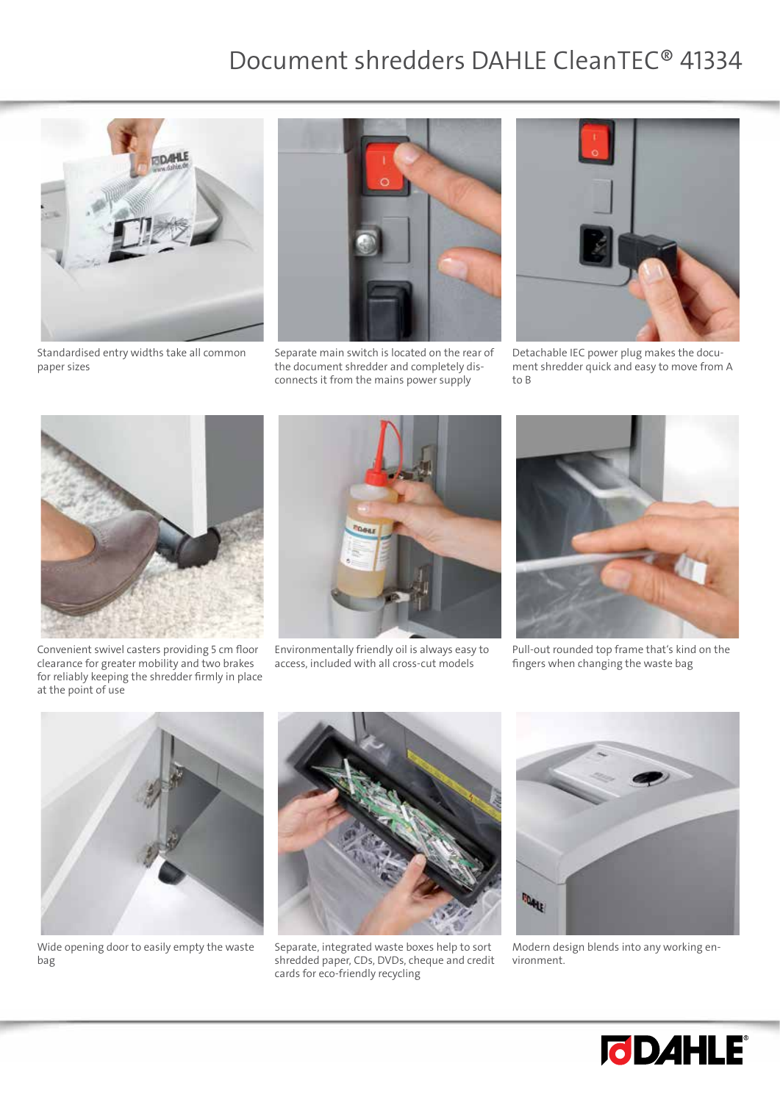

Standardised entry widths take all common paper sizes



Separate main switch is located on the rear of the document shredder and completely disconnects it from the mains power supply



Detachable IEC power plug makes the document shredder quick and easy to move from A to B



Convenient swivel casters providing 5 cm floor clearance for greater mobility and two brakes for reliably keeping the shredder firmly in place at the point of use



Environmentally friendly oil is always easy to access, included with all cross-cut models



Pull-out rounded top frame that's kind on the fingers when changing the waste bag



Wide opening door to easily empty the waste bag



Separate, integrated waste boxes help to sort shredded paper, CDs, DVDs, cheque and credit cards for eco-friendly recycling



Modern design blends into any working environment.

![](_page_1_Picture_19.jpeg)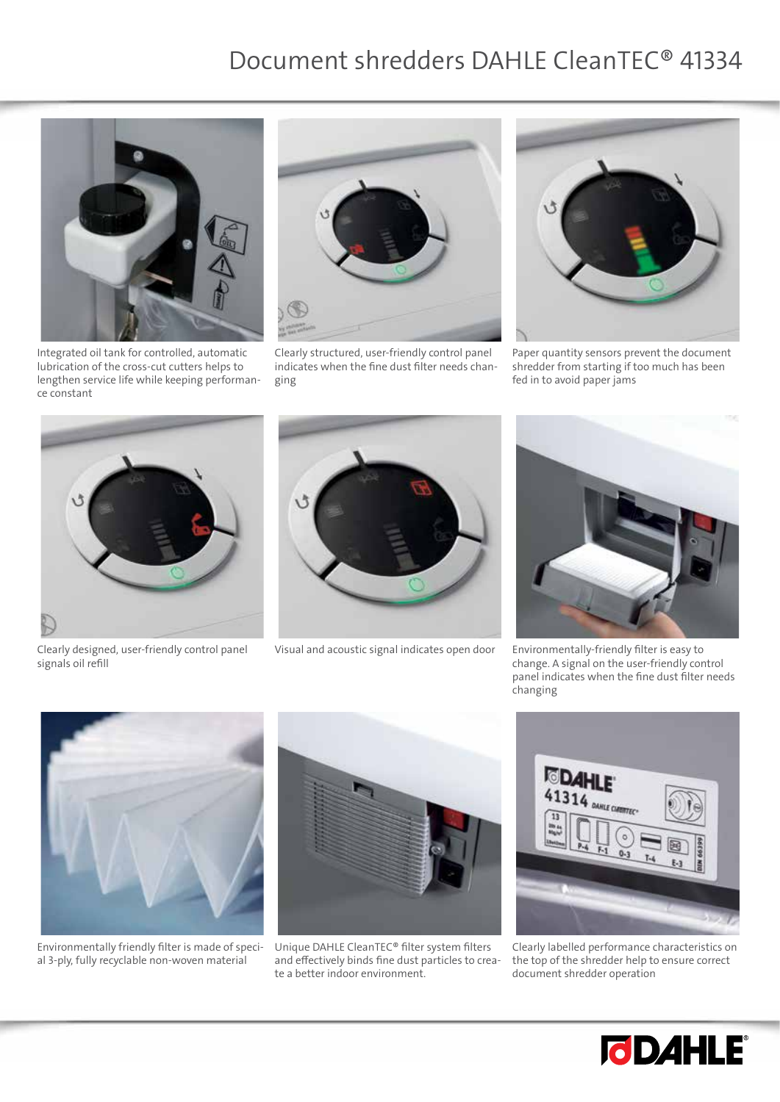![](_page_2_Picture_1.jpeg)

Integrated oil tank for controlled, automatic lubrication of the cross-cut cutters helps to lengthen service life while keeping performance constant

![](_page_2_Picture_3.jpeg)

Clearly structured, user-friendly control panel indicates when the fine dust filter needs changing

![](_page_2_Picture_5.jpeg)

Paper quantity sensors prevent the document shredder from starting if too much has been fed in to avoid paper jams

![](_page_2_Picture_7.jpeg)

Clearly designed, user-friendly control panel signals oil refill

![](_page_2_Picture_9.jpeg)

Visual and acoustic signal indicates open door Environmentally-friendly filter is easy to

![](_page_2_Picture_11.jpeg)

change. A signal on the user-friendly control panel indicates when the fine dust filter needs changing

![](_page_2_Picture_13.jpeg)

Environmentally friendly filter is made of special 3-ply, fully recyclable non-woven material

![](_page_2_Picture_15.jpeg)

Unique DAHLE CleanTEC® filter system filters and effectively binds fine dust particles to create a better indoor environment.

![](_page_2_Picture_17.jpeg)

Clearly labelled performance characteristics on the top of the shredder help to ensure correct document shredder operation

![](_page_2_Picture_19.jpeg)